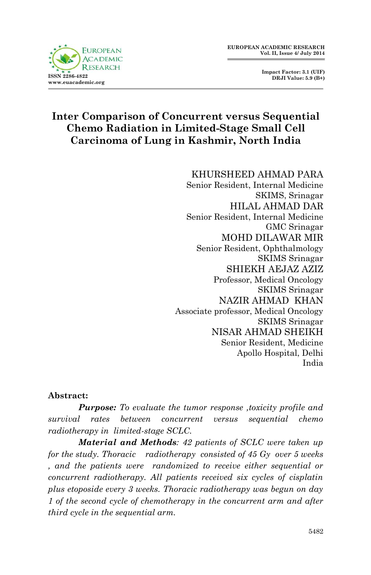

 **Impact Factor: 3.1 (UIF) DRJI Value: 5.9 (B+)**

# **Inter Comparison of Concurrent versus Sequential Chemo Radiation in Limited-Stage Small Cell Carcinoma of Lung in Kashmir, North India**

KHURSHEED AHMAD PARA Senior Resident, Internal Medicine SKIMS, Srinagar HILAL AHMAD DAR Senior Resident, Internal Medicine GMC Srinagar MOHD DILAWAR MIR Senior Resident, Ophthalmology SKIMS Srinagar SHIEKH AEJAZ AZIZ Professor, Medical Oncology SKIMS Srinagar NAZIR AHMAD KHAN Associate professor, Medical Oncology SKIMS Srinagar NISAR AHMAD SHEIKH Senior Resident, Medicine Apollo Hospital, Delhi India

#### **Abstract:**

*Purpose: To evaluate the tumor response ,toxicity profile and survival rates between concurrent versus sequential chemo radiotherapy in limited-stage SCLC.*

*Material and Methods: 42 patients of SCLC were taken up for the study. Thoracic radiotherapy consisted of 45 Gy over 5 weeks , and the patients were randomized to receive either sequential or concurrent radiotherapy. All patients received six cycles of cisplatin plus etoposide every 3 weeks. Thoracic radiotherapy was begun on day 1 of the second cycle of chemotherapy in the concurrent arm and after third cycle in the sequential arm.*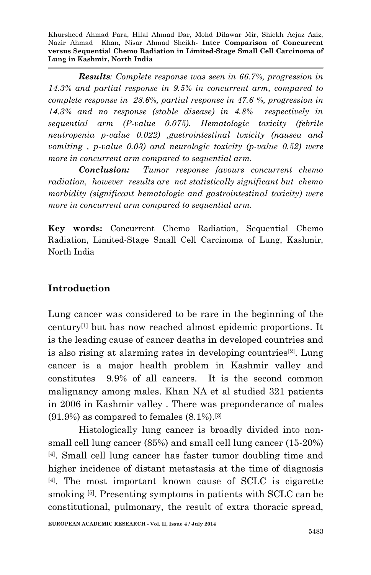*Results: Complete response was seen in 66.7%, progression in 14.3% and partial response in 9.5% in concurrent arm, compared to complete response in 28.6%, partial response in 47.6 %, progression in 14.3% and no response (stable disease) in 4.8% respectively in sequential arm (P-value 0.075). Hematologic toxicity (febrile neutropenia p-value 0.022) ,gastrointestinal toxicity (nausea and vomiting , p-value 0.03) and neurologic toxicity (p-value 0.52) were more in concurrent arm compared to sequential arm.*

*Conclusion: Tumor response favours concurrent chemo radiation, however results are not statistically significant but chemo morbidity (significant hematologic and gastrointestinal toxicity) were more in concurrent arm compared to sequential arm.*

**Key words:** Concurrent Chemo Radiation, Sequential Chemo Radiation, Limited-Stage Small Cell Carcinoma of Lung, Kashmir, North India

# **Introduction**

Lung cancer was considered to be rare in the beginning of the century[1] but has now reached almost epidemic proportions. It is the leading cause of cancer deaths in developed countries and is also rising at alarming rates in developing countries[2]. Lung cancer is a major health problem in Kashmir valley and constitutes 9.9% of all cancers. It is the second common malignancy among males. Khan NA et al studied 321 patients in 2006 in Kashmir valley . There was preponderance of males  $(91.9\%)$  as compared to females  $(8.1\%)$ . [3]

Histologically lung cancer is broadly divided into nonsmall cell lung cancer (85%) and small cell lung cancer (15-20%) [4]. Small cell lung cancer has faster tumor doubling time and higher incidence of distant metastasis at the time of diagnosis [4]. The most important known cause of SCLC is cigarette smoking [5]. Presenting symptoms in patients with SCLC can be constitutional, pulmonary, the result of extra thoracic spread,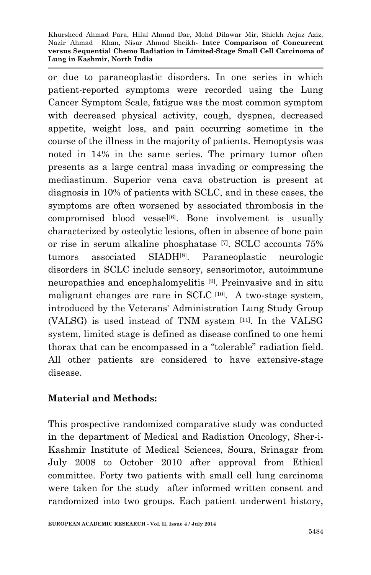or due to paraneoplastic disorders. In one series in which patient-reported symptoms were recorded using the Lung Cancer Symptom Scale, fatigue was the most common symptom with decreased physical activity, cough, dyspnea, decreased appetite, weight loss, and pain occurring sometime in the course of the illness in the majority of patients. Hemoptysis was noted in 14% in the same series. The primary tumor often presents as a large central mass invading or compressing the mediastinum. Superior vena cava obstruction is present at diagnosis in 10% of patients with SCLC, and in these cases, the symptoms are often worsened by associated thrombosis in the compromised blood vessel<sup>[6]</sup>. Bone involvement is usually characterized by osteolytic lesions, often in absence of bone pain or rise in serum alkaline phosphatase [7]. SCLC accounts 75% tumors associated SIADH[8]. Paraneoplastic neurologic disorders in SCLC include sensory, sensorimotor, autoimmune neuropathies and encephalomyelitis [9]. Preinvasive and in situ malignant changes are rare in SCLC [10]. A two-stage system, introduced by the Veterans' Administration Lung Study Group (VALSG) is used instead of TNM system [11]. In the VALSG system, limited stage is defined as disease confined to one hemi thorax that can be encompassed in a "tolerable" radiation field. All other patients are considered to have extensive-stage disease.

## **Material and Methods:**

This prospective randomized comparative study was conducted in the department of Medical and Radiation Oncology, Sher-i-Kashmir Institute of Medical Sciences, Soura, Srinagar from July 2008 to October 2010 after approval from Ethical committee. Forty two patients with small cell lung carcinoma were taken for the study after informed written consent and randomized into two groups. Each patient underwent history,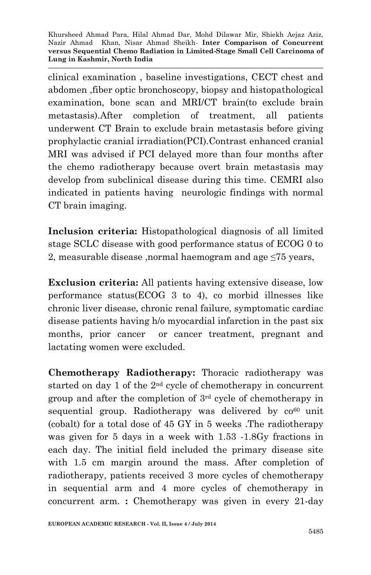clinical examination , baseline investigations, CECT chest and abdomen ,fiber optic bronchoscopy, biopsy and histopathological examination, bone scan and MRI/CT brain(to exclude brain metastasis).After completion of treatment, all patients underwent CT Brain to exclude brain metastasis before giving prophylactic cranial irradiation(PCI).Contrast enhanced cranial MRI was advised if PCI delayed more than four months after the chemo radiotherapy because overt brain metastasis may develop from subclinical disease during this time. CEMRI also indicated in patients having neurologic findings with normal CT brain imaging.

**Inclusion criteria:** Histopathological diagnosis of all limited stage SCLC disease with good performance status of ECOG 0 to 2, measurable disease ,normal haemogram and age ≤75 years,

**Exclusion criteria:** All patients having extensive disease, low performance status(ECOG 3 to 4), co morbid illnesses like chronic liver disease, chronic renal failure, symptomatic cardiac disease patients having h/o myocardial infarction in the past six months, prior cancer or cancer treatment, pregnant and lactating women were excluded.

**Chemotherapy Radiotherapy:** Thoracic radiotherapy was started on day 1 of the  $2<sup>nd</sup>$  cycle of chemotherapy in concurrent group and after the completion of 3rd cycle of chemotherapy in sequential group. Radiotherapy was delivered by  $\cos^{60}$  unit (cobalt) for a total dose of 45 GY in 5 weeks .The radiotherapy was given for 5 days in a week with 1.53 -1.8Gy fractions in each day. The initial field included the primary disease site with 1.5 cm margin around the mass. After completion of radiotherapy, patients received 3 more cycles of chemotherapy in sequential arm and 4 more cycles of chemotherapy in concurrent arm. **:** Chemotherapy was given in every 21-day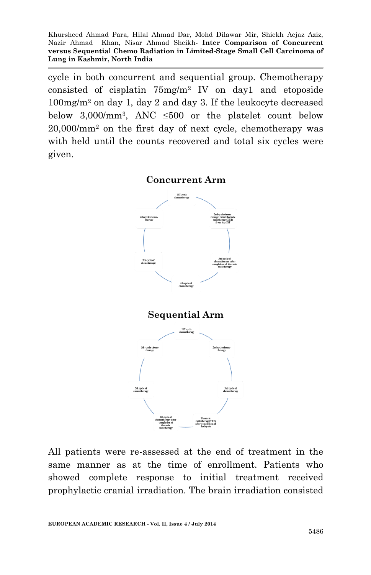cycle in both concurrent and sequential group. Chemotherapy consisted of cisplatin 75mg/m<sup>2</sup> IV on day1 and etoposide 100mg/m<sup>2</sup> on day 1, day 2 and day 3. If the leukocyte decreased below  $3,000/\text{mm}^3$ , ANC  $\leq 500$  or the platelet count below 20,000/mm<sup>2</sup> on the first day of next cycle, chemotherapy was with held until the counts recovered and total six cycles were given.



All patients were re-assessed at the end of treatment in the same manner as at the time of enrollment. Patients who showed complete response to initial treatment received prophylactic cranial irradiation. The brain irradiation consisted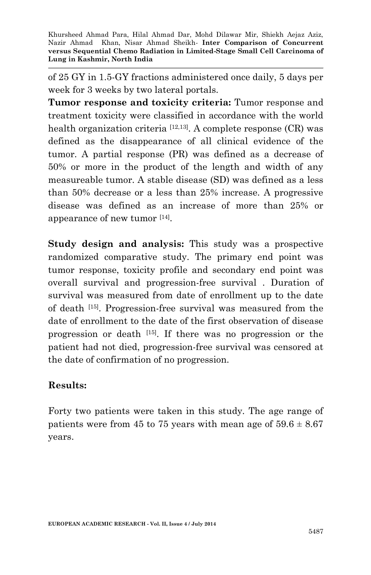of 25 GY in 1.5-GY fractions administered once daily, 5 days per week for 3 weeks by two lateral portals.

**Tumor response and toxicity criteria:** Tumor response and treatment toxicity were classified in accordance with the world health organization criteria  $[12,13]$ . A complete response  $(CR)$  was defined as the disappearance of all clinical evidence of the tumor. A partial response (PR) was defined as a decrease of 50% or more in the product of the length and width of any measureable tumor. A stable disease (SD) was defined as a less than 50% decrease or a less than 25% increase. A progressive disease was defined as an increase of more than 25% or appearance of new tumor [14] .

**Study design and analysis:** This study was a prospective randomized comparative study. The primary end point was tumor response, toxicity profile and secondary end point was overall survival and progression-free survival . Duration of survival was measured from date of enrollment up to the date of death [15]. Progression-free survival was measured from the date of enrollment to the date of the first observation of disease progression or death [15]. If there was no progression or the patient had not died, progression-free survival was censored at the date of confirmation of no progression.

## **Results:**

Forty two patients were taken in this study. The age range of patients were from 45 to 75 years with mean age of  $59.6 \pm 8.67$ years.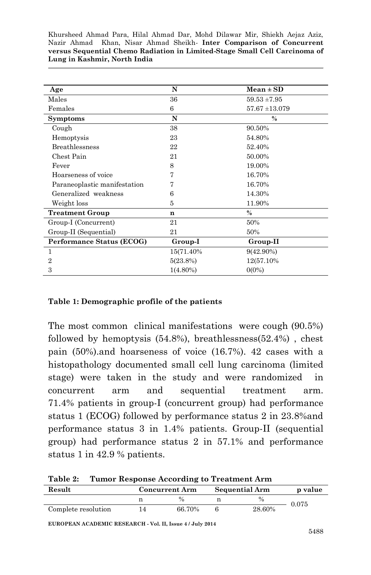| Age                          | N           | $Mean \pm SD$      |
|------------------------------|-------------|--------------------|
| Males                        | 36          | $59.53 \pm 7.95$   |
| Females                      | 6           | $57.67 \pm 13.079$ |
| <b>Symptoms</b>              | N           | $\%$               |
| Cough                        | 38          | 90.50%             |
| Hemoptysis                   | 23          | 54.80%             |
| <b>Breathlessness</b>        | 22          | 52.40%             |
| Chest Pain                   | 21          | 50.00%             |
| Fever                        | 8           | 19.00%             |
| Hoarseness of voice          |             | 16.70%             |
| Paraneoplastic manifestation |             | 16.70%             |
| Generalized weakness         | 6           | 14.30%             |
| Weight loss                  | 5           | 11.90%             |
| <b>Treatment Group</b>       | n           | $\%$               |
| Group-I (Concurrent)         | 21          | 50%                |
| Group-II (Sequential)        | 21          | 50%                |
| Performance Status (ECOG)    | Group-I     | Group-II           |
| 1                            | 15(71.40%)  | $9(42.90\%)$       |
| 2                            | 5(23.8%)    | 12(57.10%)         |
| 3                            | $1(4.80\%)$ | $0(0\%)$           |

#### **Table 1: Demographic profile of the patients**

The most common clinical manifestations were cough (90.5%) followed by hemoptysis (54.8%), breathlessness(52.4%) , chest pain (50%).and hoarseness of voice (16.7%). 42 cases with a histopathology documented small cell lung carcinoma (limited stage) were taken in the study and were randomized in concurrent arm and sequential treatment arm. 71.4% patients in group-I (concurrent group) had performance status 1 (ECOG) followed by performance status 2 in 23.8%and performance status 3 in 1.4% patients. Group-II (sequential group) had performance status 2 in 57.1% and performance status 1 in 42.9 % patients.

**Table 2: Tumor Response According to Treatment Arm Result Concurrent Arm Sequential Arm p value**

| Kesult              | Concurrent Arm | Sequential Arm | p value |  |
|---------------------|----------------|----------------|---------|--|
|                     | $\frac{0}{0}$  | $\%$           | 0.075   |  |
| Complete resolution | 66.70%         | 28.60%         |         |  |

**EUROPEAN ACADEMIC RESEARCH - Vol. II, Issue 4 / July 2014**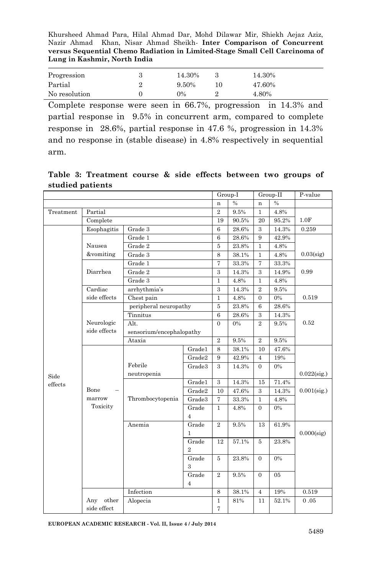| Progression   | 14.30% | 14.30% |
|---------------|--------|--------|
| Partial       | 9.50%  | 47.60% |
| No resolution | $0\%$  | 4.80%  |

Complete response were seen in 66.7%, progression in 14.3% and partial response in 9.5% in concurrent arm, compared to complete response in 28.6%, partial response in 47.6 %, progression in 14.3% and no response in (stable disease) in 4.8% respectively in sequential arm.

**Table 3: Treatment course & side effects between two groups of studied patients**

|                 |                            |                          |                |                | Group-I        |                | Group-II      | P-value        |
|-----------------|----------------------------|--------------------------|----------------|----------------|----------------|----------------|---------------|----------------|
|                 |                            |                          |                | n              | $\frac{0}{0}$  | n              | $\frac{0}{6}$ |                |
| Treatment       | Partial                    |                          |                | $\overline{2}$ | 9.5%           | $\mathbf{1}$   | 4.8%          |                |
|                 | Complete                   |                          |                |                |                |                | 95.2%         | 1.0F           |
|                 | Esophagitis                | Grade 3                  |                |                | 28.6%          | 3              | 14.3%         | 0.259          |
|                 |                            | Grade 1                  |                | 6              | 28.6%          | 9              | 42.9%         |                |
|                 | Nausea                     | Grade 2                  |                | 5              | 23.8%          | 1              | 4.8%          |                |
|                 | &vomiting                  | Grade 3                  |                | 8              | 38.1%          | $\mathbf{1}$   | 4.8%          | $0.03$ (sig)   |
|                 |                            | Grade 1                  |                | 7              | 33.3%          | $\overline{7}$ | 33.3%         |                |
|                 | Diarrhea                   | Grade 2                  |                | 3              | 14.3%          | 3              | 14.9%         | 0.99           |
|                 |                            | Grade 3                  |                | $\mathbf{1}$   | 4.8%           | $\mathbf{1}$   | 4.8%          |                |
|                 | Cardiac                    | arrhythmia's             |                | 3              | 14.3%          | $\,2\,$        | 9.5%          |                |
|                 | side effects               | Chest pain               |                | $\mathbf{1}$   | 4.8%           | $\mathbf{0}$   | $0\%$         | 0.519          |
|                 |                            | peripheral neuropathy    |                | 5              | 23.8%          | $\,6$          | 28.6%         |                |
|                 |                            | Tinnitus                 |                |                | 28.6%          | 3              | 14.3%         |                |
|                 | Neurologic                 | Alt.                     |                |                | 0%             | $\overline{2}$ | 9.5%          | 0.52           |
|                 | side effects               | sensorium/encephalopathy |                |                |                |                |               |                |
|                 |                            | Ataxia                   | $\overline{2}$ | 9.5%           | $\overline{2}$ | 9.5%           |               |                |
|                 |                            |                          | Gradel         | $\overline{8}$ | 38.1%          | 10             | 47.6%         |                |
|                 |                            |                          | Grade2         | 9              | 42.9%          | 4              | 19%           |                |
| Side<br>effects |                            | Febrile                  | Grade3         | 3              | 14.3%          | $\overline{0}$ | 0%            |                |
|                 |                            | neutropenia              |                |                |                |                |               | $0.022$ (sig.) |
|                 |                            | Thrombocytopenia         | Grade1         | 3              | 14.3%          | 15             | 71.4%         | $0.001$ (sig.) |
|                 | Bone<br>marrow<br>Toxicity |                          | Grade2         | 10             | 47.6%          | $\overline{3}$ | 14.3%         |                |
|                 |                            |                          | Grade3         | $\overline{7}$ | 33.3%          | $\,1$          | 4.8%          |                |
|                 |                            |                          | Grade          | $\mathbf{1}$   | 4.8%           | $\overline{0}$ | 0%            |                |
|                 |                            |                          | $\overline{4}$ |                |                |                |               |                |
|                 |                            | Anemia                   | Grade<br>1     | $\overline{2}$ | 9.5%           | 13             | 61.9%         | $0.000$ (sig)  |
|                 |                            |                          | Grade          | 12             | 57.1%          | 5              | 23.8%         |                |
|                 |                            |                          | $\overline{2}$ |                |                |                |               |                |
|                 |                            |                          | Grade          | 5              | 23.8%          | $\overline{0}$ | 0%            |                |
|                 |                            |                          | 3              |                |                |                |               |                |
|                 |                            |                          | Grade          | $\overline{2}$ | 9.5%           | $\overline{0}$ | 05            |                |
|                 |                            |                          | $\overline{4}$ |                |                |                |               |                |
|                 |                            | Infection                |                | 8              | 38.1%          | $\overline{4}$ | 19%           | 0.519          |
|                 | other<br>Any               | Alopecia                 |                | 1              | 81%            | 11             | 52.1%         | 0.05           |
|                 | side effect                |                          |                | 7              |                |                |               |                |

**EUROPEAN ACADEMIC RESEARCH - Vol. II, Issue 4 / July 2014**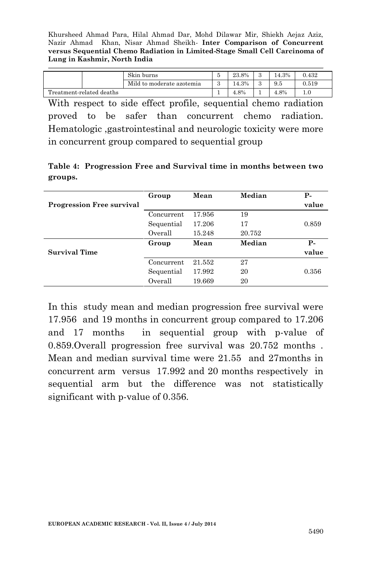|                          | Skin burns                | 23.8% | 14.3% | 0.432 |
|--------------------------|---------------------------|-------|-------|-------|
|                          | Mild to moderate azotemia | 14.3% | 9.5   | 0.519 |
| Treatment-related deaths |                           | 4.8%  | 4.8%  |       |

With respect to side effect profile, sequential chemo radiation proved to be safer than concurrent chemo radiation. Hematologic ,gastrointestinal and neurologic toxicity were more in concurrent group compared to sequential group

|         | Table 4: Progression Free and Survival time in months between two |  |  |  |  |
|---------|-------------------------------------------------------------------|--|--|--|--|
| groups. |                                                                   |  |  |  |  |

|                                  | Group      | Mean   | Median | <b>P</b> - |
|----------------------------------|------------|--------|--------|------------|
| <b>Progression Free survival</b> |            |        |        | value      |
|                                  | Concurrent | 17.956 | 19     |            |
|                                  | Sequential | 17.206 | 17     | 0.859      |
|                                  | Overall    | 15.248 | 20.752 |            |
|                                  | Group      | Mean   | Median | Р-         |
| Survival Time                    |            |        |        | value      |
|                                  | Concurrent | 21.552 | 27     |            |
|                                  | Sequential | 17.992 | 20     | 0.356      |
|                                  | Overall    | 19.669 | 20     |            |

In this study mean and median progression free survival were 17.956 and 19 months in concurrent group compared to 17.206 and 17 months in sequential group with p-value of 0.859.Overall progression free survival was 20.752 months . Mean and median survival time were 21.55 and 27months in concurrent arm versus 17.992 and 20 months respectively in sequential arm but the difference was not statistically significant with p-value of 0.356.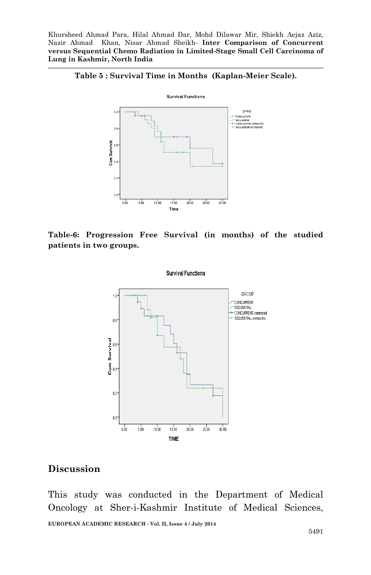



**Table-6: Progression Free Survival (in months) of the studied patients in two groups.**



#### **Discussion**

This study was conducted in the Department of Medical Oncology at Sher-i-Kashmir Institute of Medical Sciences,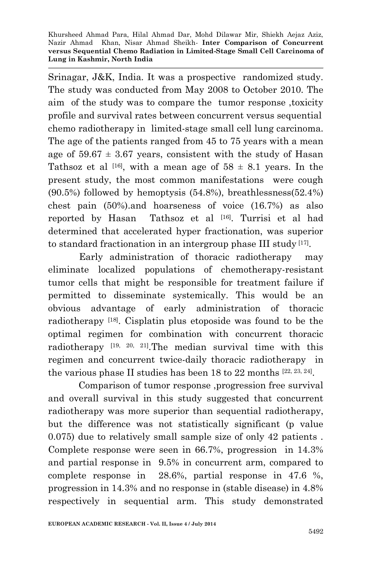Srinagar, J&K, India. It was a prospective randomized study. The study was conducted from May 2008 to October 2010. The aim of the study was to compare the tumor response ,toxicity profile and survival rates between concurrent versus sequential chemo radiotherapy in limited-stage small cell lung carcinoma. The age of the patients ranged from 45 to 75 years with a mean age of  $59.67 \pm 3.67$  years, consistent with the study of Hasan Tathsoz et al <sup>[16]</sup>, with a mean age of  $58 \pm 8.1$  years. In the present study, the most common manifestations were cough (90.5%) followed by hemoptysis (54.8%), breathlessness(52.4%) chest pain (50%).and hoarseness of voice (16.7%) as also reported by Hasan Tathsoz et al [16]. Turrisi et al had determined that accelerated hyper fractionation, was superior to standard fractionation in an intergroup phase III study [17] .

 Early administration of thoracic radiotherapy may eliminate localized populations of chemotherapy-resistant tumor cells that might be responsible for treatment failure if permitted to disseminate systemically. This would be an obvious advantage of early administration of thoracic radiotherapy [18]. Cisplatin plus etoposide was found to be the optimal regimen for combination with concurrent thoracic radiotherapy [19, 20, 21].The median survival time with this regimen and concurrent twice-daily thoracic radiotherapy in the various phase II studies has been 18 to 22 months [22, 23, 24].

Comparison of tumor response ,progression free survival and overall survival in this study suggested that concurrent radiotherapy was more superior than sequential radiotherapy, but the difference was not statistically significant (p value 0.075) due to relatively small sample size of only 42 patients . Complete response were seen in 66.7%, progression in 14.3% and partial response in 9.5% in concurrent arm, compared to complete response in 28.6%, partial response in 47.6 %, progression in 14.3% and no response in (stable disease) in 4.8% respectively in sequential arm. This study demonstrated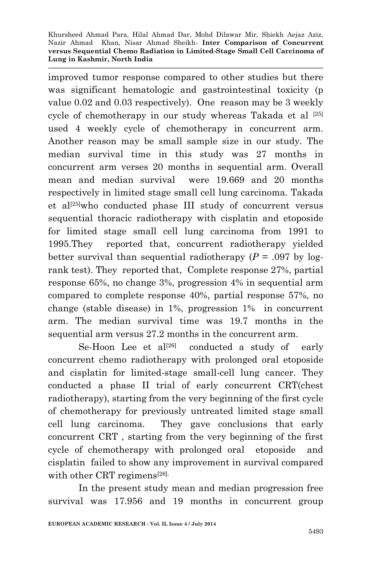improved tumor response compared to other studies but there was significant hematologic and gastrointestinal toxicity (p value 0.02 and 0.03 respectively). One reason may be 3 weekly cycle of chemotherapy in our study whereas Takada et al [25] used 4 weekly cycle of chemotherapy in concurrent arm. Another reason may be small sample size in our study. The median survival time in this study was 27 months in concurrent arm verses 20 months in sequential arm. Overall mean and median survival were 19.669 and 20 months respectively in limited stage small cell lung carcinoma. Takada et al<sup>[25]</sup>who conducted phase III study of concurrent versus sequential thoracic radiotherapy with cisplatin and etoposide for limited stage small cell lung carcinoma from 1991 to 1995.They reported that, concurrent radiotherapy yielded better survival than sequential radiotherapy  $(P = .097$  by logrank test). They reported that, Complete response 27%, partial response 65%, no change 3%, progression 4% in sequential arm compared to complete response 40%, partial response 57%, no change (stable disease) in 1%, progression 1% in concurrent arm. The median survival time was 19.7 months in the sequential arm versus 27.2 months in the concurrent arm.

Se-Hoon Lee et  $al^{[26]}$  conducted a study of early concurrent chemo radiotherapy with prolonged oral etoposide and cisplatin for limited-stage small-cell lung cancer. They conducted a phase II trial of early concurrent CRT(chest radiotherapy), starting from the very beginning of the first cycle of chemotherapy for previously untreated limited stage small cell lung carcinoma. They gave conclusions that early concurrent CRT , starting from the very beginning of the first cycle of chemotherapy with prolonged oral etoposide and cisplatin failed to show any improvement in survival compared with other CRT regimens<sup>[26]</sup>.

In the present study mean and median progression free survival was 17.956 and 19 months in concurrent group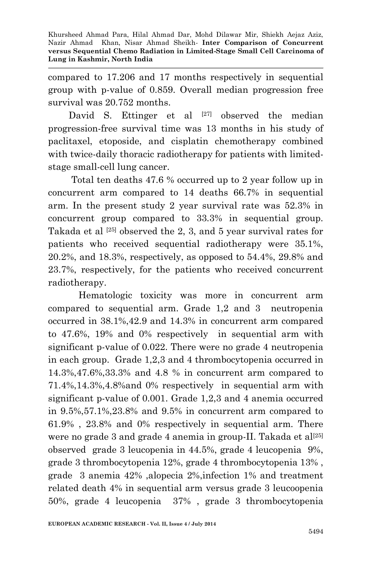compared to 17.206 and 17 months respectively in sequential group with p-value of 0.859. Overall median progression free survival was 20.752 months.

David S. Ettinger et al  $[27]$  observed the median progression-free survival time was 13 months in his study of paclitaxel, etoposide, and cisplatin chemotherapy combined with twice-daily thoracic radiotherapy for patients with limitedstage small-cell lung cancer.

 Total ten deaths 47.6 % occurred up to 2 year follow up in concurrent arm compared to 14 deaths 66.7% in sequential arm. In the present study 2 year survival rate was 52.3% in concurrent group compared to 33.3% in sequential group. Takada et al <sup>[25]</sup> observed the 2, 3, and 5 year survival rates for patients who received sequential radiotherapy were 35.1%, 20.2%, and 18.3%, respectively, as opposed to 54.4%, 29.8% and 23.7%, respectively, for the patients who received concurrent radiotherapy.

Hematologic toxicity was more in concurrent arm compared to sequential arm. Grade 1,2 and 3 neutropenia occurred in 38.1%,42.9 and 14.3% in concurrent arm compared to 47.6%, 19% and 0% respectively in sequential arm with significant p-value of 0.022. There were no grade 4 neutropenia in each group. Grade 1,2,3 and 4 thrombocytopenia occurred in 14.3%,47.6%,33.3% and 4.8 % in concurrent arm compared to 71.4%,14.3%,4.8%and 0% respectively in sequential arm with significant p-value of 0.001. Grade 1,2,3 and 4 anemia occurred in 9.5%,57.1%,23.8% and 9.5% in concurrent arm compared to 61.9% , 23.8% and 0% respectively in sequential arm. There were no grade 3 and grade 4 anemia in group-II. Takada et al<sup>[25]</sup> observed grade 3 leucopenia in 44.5%, grade 4 leucopenia 9%, grade 3 thrombocytopenia 12%, grade 4 thrombocytopenia 13% , grade 3 anemia 42% ,alopecia 2%,infection 1% and treatment related death 4% in sequential arm versus grade 3 leucoopenia 50%, grade 4 leucopenia 37% , grade 3 thrombocytopenia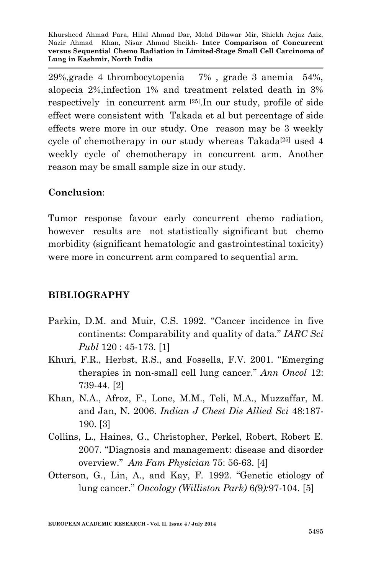29%,grade 4 thrombocytopenia 7% , grade 3 anemia 54%, alopecia 2%,infection 1% and treatment related death in 3% respectively in concurrent arm [25].In our study, profile of side effect were consistent with Takada et al but percentage of side effects were more in our study. One reason may be 3 weekly cycle of chemotherapy in our study whereas Takada<sup>[25]</sup> used  $4$ weekly cycle of chemotherapy in concurrent arm. Another reason may be small sample size in our study.

## **Conclusion**:

Tumor response favour early concurrent chemo radiation, however results are not statistically significant but chemo morbidity (significant hematologic and gastrointestinal toxicity) were more in concurrent arm compared to sequential arm.

# **BIBLIOGRAPHY**

- Parkin, D.M. and Muir, C.S. 1992. "Cancer incidence in five continents: Comparability and quality of data*.*" *IARC Sci Publ* 120 : 45-173. [1]
- Khuri, F.R., Herbst, R.S., and Fossella, F.V. 2001. "Emerging therapies in non-small cell lung cancer." *Ann Oncol* 12: 739-44. [2]
- Khan, N.A., Afroz, F., Lone, M.M., Teli, M.A., Muzzaffar, M. and Jan, N. 2006. *Indian J Chest Dis Allied Sci* 48:187- 190. [3]
- Collins, L., Haines, G., Christopher, Perkel, Robert, Robert E. 2007. "Diagnosis and management: disease and disorder overview." *Am Fam Physician* 75: 56-63. [4]
- Otterson, G., Lin, A., and Kay, F*.* 1992. "Genetic etiology of lung cancer." *Oncology (Williston Park)* 6*(*9*):*97*-*104*.* [5]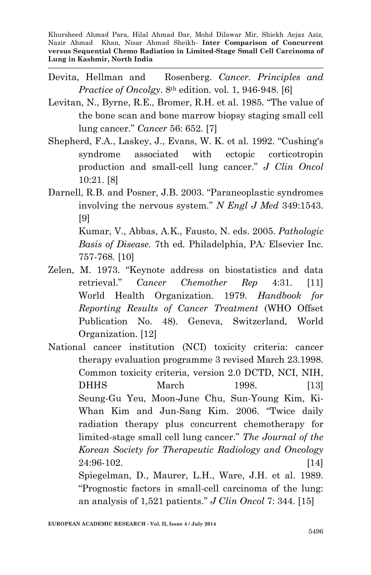- Devita, Hellman and Rosenberg. *Cancer. Principles and Practice of Oncolgy*. 8th edition. vol. 1, 946-948. [6]
- Levitan, N., Byrne, R.E., Bromer, R.H. et al. 1985. "The value of the bone scan and bone marrow biopsy staging small cell lung cancer." *Cancer* 56: 652. [7]
- Shepherd, F.A., Laskey, J., Evans, W. K. et al. 1992. "Cushing's syndrome associated with ectopic corticotropin production and small-cell lung cancer." *J Clin Oncol* 10:21. [8]
- Darnell, R.B. and Posner, J.B. 2003. "Paraneoplastic syndromes involving the nervous system." *N Engl J Med* 349:1543. [9] Kumar, V., Abbas, A.K., Fausto, N. eds. 2005. *Pathologic Basis of Disease.* 7th ed*.* Philadelphia, PA*:* Elsevier Inc*.*

757*-*768*.* [10]

- Zelen, M. 1973. "Keynote address on biostatistics and data retrieval." *Cancer Chemother Rep* 4:31. [11] World Health Organization. 1979. *Handbook for Reporting Results of Cancer Treatment* (WHO Offset Publication No. 48). Geneva, Switzerland, World Organization. [12]
- National cancer institution (NCI) toxicity criteria: cancer therapy evaluation programme 3 revised March 23.1998. Common toxicity criteria, version 2.0 DCTD, NCI, NIH, DHHS March 1998. [13] Seung-Gu Yeu, Moon-June Chu, Sun-Young Kim, Ki-Whan Kim and Jun-Sang Kim. 2006. "Twice daily radiation therapy plus concurrent chemotherapy for limited-stage small cell lung cancer." *The Journal of the Korean Society for Therapeutic Radiology and Oncology* 24:96-102. [14] Spiegelman, D., Maurer, L.H., Ware, J.H. et al. 1989. "Prognostic factors in small-cell carcinoma of the lung:
	- an analysis of 1,521 patients." *J Clin Oncol* 7: 344. [15]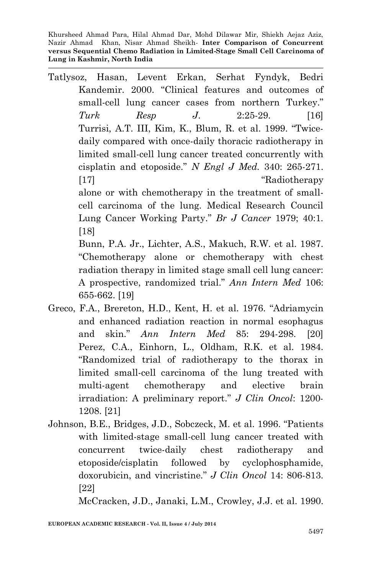Tatlysoz, Hasan, Levent Erkan, Serhat Fyndyk, Bedri Kandemir. 2000. "Clinical features and outcomes of small-cell lung cancer cases from northern Turkey." *Turk Resp J*. 2:25-29. [16] Turrisi, A.T. III, Kim, K., Blum, R. et al. 1999. "Twicedaily compared with once-daily thoracic radiotherapy in limited small-cell lung cancer treated concurrently with cisplatin and etoposide." *N Engl J Med.* 340: 265-271. [17] "Radiotherapy" alone or with chemotherapy in the treatment of smallcell carcinoma of the lung. Medical Research Council Lung Cancer Working Party." *Br J Cancer* 1979; 40:1. [18] Bunn, P.A. Jr., Lichter, A.S., Makuch, R.W. et al. 1987. "Chemotherapy alone or chemotherapy with chest radiation therapy in limited stage small cell lung cancer:

A prospective, randomized trial." *Ann Intern Med* 106: 655-662. [19]

- Greco, F.A., Brereton, H.D., Kent, H. et al. 1976. "Adriamycin and enhanced radiation reaction in normal esophagus and skin." *Ann Intern Med* 85: 294-298. [20] Perez, C.A., Einhorn, L., Oldham, R.K. et al. 1984. "Randomized trial of radiotherapy to the thorax in limited small-cell carcinoma of the lung treated with multi-agent chemotherapy and elective brain irradiation: A preliminary report." *J Clin Oncol*: 1200- 1208. [21]
- Johnson, B.E., Bridges, J.D., Sobczeck, M. et al. 1996. "Patients with limited-stage small-cell lung cancer treated with concurrent twice-daily chest radiotherapy and etoposide/cisplatin followed by cyclophosphamide, doxorubicin, and vincristine." *J Clin Oncol* 14: 806-813. [22]

McCracken, J.D., Janaki, L.M., Crowley, J.J. et al. 1990.